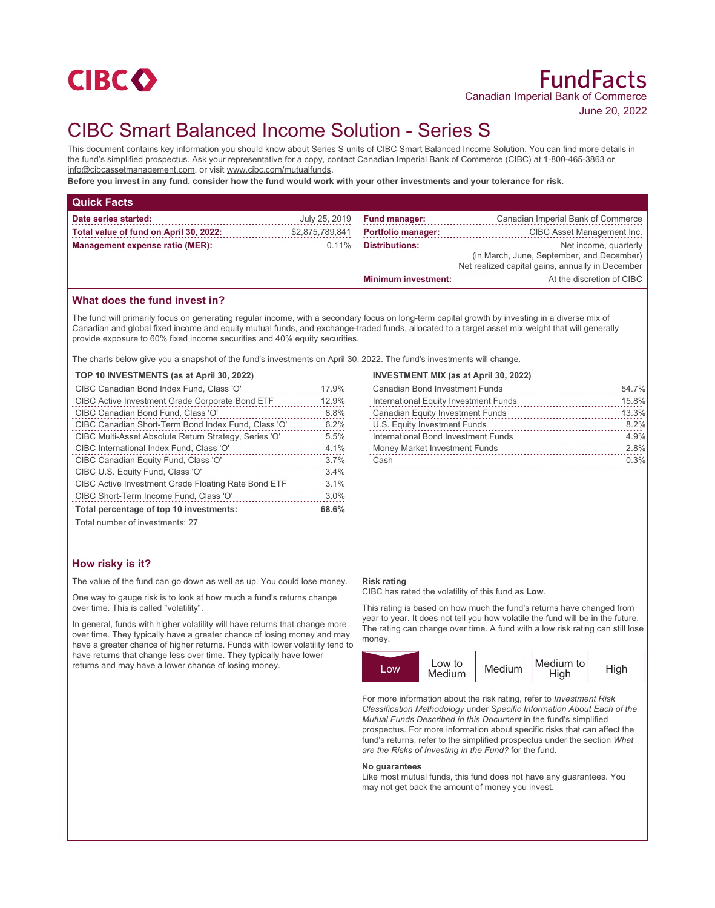

# CIBC Smart Balanced Income Solution - Series S

This document contains key information you should know about Series S units of CIBC Smart Balanced Income Solution. You can find more details in the fund's simplified prospectus. Ask your representative for a copy, contact Canadian Imperial Bank of Commerce (CIBC) at 1-800-465-3863 or info@cibcassetmanagement.com, or visit www.cibc.com/mutualfunds.

**Before you invest in any fund, consider how the fund would work with your other investments and your tolerance for risk.**

| <b>Quick Facts</b>                     |                 |                            |                                                                                                                        |
|----------------------------------------|-----------------|----------------------------|------------------------------------------------------------------------------------------------------------------------|
| Date series started:                   | July 25, 2019   | <b>Fund manager:</b>       | Canadian Imperial Bank of Commerce                                                                                     |
| Total value of fund on April 30, 2022: | \$2,875,789,841 | <b>Portfolio manager:</b>  | CIBC Asset Management Inc.                                                                                             |
| Management expense ratio (MER):        | $0.11\%$        | <b>Distributions:</b>      | Net income, quarterly<br>(in March, June, September, and December)<br>Net realized capital gains, annually in December |
|                                        |                 | <b>Minimum investment:</b> | At the discretion of CIBC                                                                                              |

## **What does the fund invest in?**

The fund will primarily focus on generating regular income, with a secondary focus on long-term capital growth by investing in a diverse mix of Canadian and global fixed income and equity mutual funds, and exchange-traded funds, allocated to a target asset mix weight that will generally provide exposure to 60% fixed income securities and 40% equity securities.

The charts below give you a snapshot of the fund's investments on April 30, 2022. The fund's investments will change.

| TOP 10 INVESTMENTS (as at April 30, 2022)              |       |
|--------------------------------------------------------|-------|
| CIBC Canadian Bond Index Fund, Class 'O'               | 17.9% |
| <b>CIBC Active Investment Grade Corporate Bond ETF</b> | 12.9% |
| CIBC Canadian Bond Fund, Class 'O'                     | 8.8%  |
| CIBC Canadian Short-Term Bond Index Fund, Class 'O'    | 6.2%  |
| CIBC Multi-Asset Absolute Return Strategy, Series 'O'  | 5.5%  |
| CIBC International Index Fund, Class 'O'               | 4.1%  |
| CIBC Canadian Equity Fund, Class 'O'                   | 3.7%  |
| CIBC U.S. Equity Fund, Class 'O'                       | 3.4%  |
| CIBC Active Investment Grade Floating Rate Bond ETF    | 3.1%  |
| CIBC Short-Term Income Fund, Class 'O'                 | 3.0%  |
| Total percentage of top 10 investments:                | 68.6% |

### **INVESTMENT MIX (as at April 30, 2022)**

| <b>Canadian Bond Investment Funds</b>   | 54.7% |
|-----------------------------------------|-------|
| International Equity Investment Funds   | 15.8% |
| <b>Canadian Equity Investment Funds</b> | 13.3% |
| U.S. Equity Investment Funds            | 8.2%  |
| International Bond Investment Funds     | 4.9%  |
| Money Market Investment Funds           | 2.8%  |
| Cash                                    | 0.3%  |
|                                         |       |

Total number of investments: 27

## **How risky is it?**

The value of the fund can go down as well as up. You could lose money.

One way to gauge risk is to look at how much a fund's returns change over time. This is called "volatility".

In general, funds with higher volatility will have returns that change more over time. They typically have a greater chance of losing money and may have a greater chance of higher returns. Funds with lower volatility tend to have returns that change less over time. They typically have lower returns and may have a lower chance of losing money.

#### **Risk rating**

CIBC has rated the volatility of this fund as **Low**.

This rating is based on how much the fund's returns have changed from year to year. It does not tell you how volatile the fund will be in the future. The rating can change over time. A fund with a low risk rating can still lose money.



For more information about the risk rating, refer to *Investment Risk Classification Methodology* under *Specific Information About Each of the Mutual Funds Described in this Document* in the fund's simplified prospectus. For more information about specific risks that can affect the fund's returns, refer to the simplified prospectus under the section *What are the Risks of Investing in the Fund?* for the fund.

#### **No guarantees**

Like most mutual funds, this fund does not have any guarantees. You may not get back the amount of money you invest.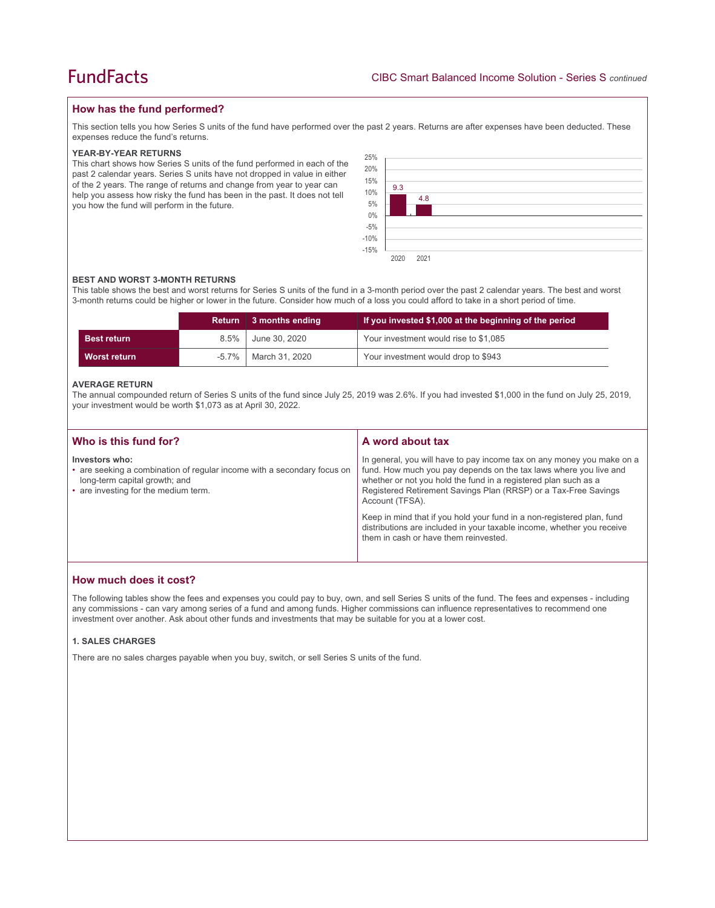## **How has the fund performed?**

This section tells you how Series S units of the fund have performed over the past 2 years. Returns are after expenses have been deducted. These expenses reduce the fund's returns.

#### **YEAR-BY-YEAR RETURNS**

This chart shows how Series S units of the fund performed in each of the past 2 calendar years. Series S units have not dropped in value in either of the 2 years. The range of returns and change from year to year can help you assess how risky the fund has been in the past. It does not tell you how the fund will perform in the future.

| 25%<br>20%<br>15%<br>10% | 9.3  |      |  |  |  |  |
|--------------------------|------|------|--|--|--|--|
| $5\%$<br>$0\%$<br>$-5%$  |      | 4.8  |  |  |  |  |
| $-10%$<br>$-15%$         | 2020 | 2021 |  |  |  |  |

#### **BEST AND WORST 3-MONTH RETURNS**

This table shows the best and worst returns for Series S units of the fund in a 3-month period over the past 2 calendar years. The best and worst 3-month returns could be higher or lower in the future. Consider how much of a loss you could afford to take in a short period of time.

|                    |         | Return 3 months ending | If you invested \$1,000 at the beginning of the period |
|--------------------|---------|------------------------|--------------------------------------------------------|
| <b>Best return</b> | $8.5\%$ | June 30, 2020          | Your investment would rise to \$1,085                  |
| Worst return       | -5.7%   | March 31, 2020         | Your investment would drop to \$943                    |

#### **AVERAGE RETURN**

The annual compounded return of Series S units of the fund since July 25, 2019 was 2.6%. If you had invested \$1,000 in the fund on July 25, 2019, your investment would be worth \$1,073 as at April 30, 2022.

| Who is this fund for?                                                                                                                                              | A word about tax                                                                                                                                                                                                                                                                                     |  |
|--------------------------------------------------------------------------------------------------------------------------------------------------------------------|------------------------------------------------------------------------------------------------------------------------------------------------------------------------------------------------------------------------------------------------------------------------------------------------------|--|
| Investors who:<br>• are seeking a combination of regular income with a secondary focus on<br>long-term capital growth; and<br>• are investing for the medium term. | In general, you will have to pay income tax on any money you make on a<br>fund. How much you pay depends on the tax laws where you live and<br>whether or not you hold the fund in a registered plan such as a<br>Registered Retirement Savings Plan (RRSP) or a Tax-Free Savings<br>Account (TFSA). |  |
|                                                                                                                                                                    | Keep in mind that if you hold your fund in a non-registered plan, fund<br>distributions are included in your taxable income, whether you receive<br>them in cash or have them reinvested.                                                                                                            |  |

## **How much does it cost?**

The following tables show the fees and expenses you could pay to buy, own, and sell Series S units of the fund. The fees and expenses - including any commissions - can vary among series of a fund and among funds. Higher commissions can influence representatives to recommend one investment over another. Ask about other funds and investments that may be suitable for you at a lower cost.

#### **1. SALES CHARGES**

There are no sales charges payable when you buy, switch, or sell Series S units of the fund.